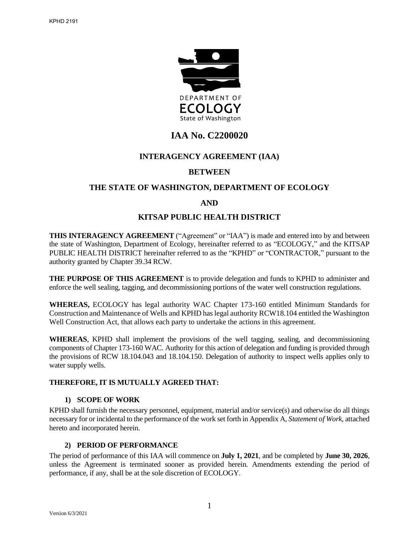

# **IAA No. C2200020**

## **INTERAGENCY AGREEMENT (IAA)**

## **BETWEEN**

## **THE STATE OF WASHINGTON, DEPARTMENT OF ECOLOGY**

## **AND**

## **KITSAP PUBLIC HEALTH DISTRICT**

**THIS INTERAGENCY AGREEMENT** ("Agreement" or "IAA") is made and entered into by and between the state of Washington, Department of Ecology, hereinafter referred to as "ECOLOGY," and the KITSAP PUBLIC HEALTH DISTRICT hereinafter referred to as the "KPHD" or "CONTRACTOR," pursuant to the authority granted by Chapter 39.34 RCW.

**THE PURPOSE OF THIS AGREEMENT** is to provide delegation and funds to KPHD to administer and enforce the well sealing, tagging, and decommissioning portions of the water well construction regulations.

**WHEREAS,** ECOLOGY has legal authority WAC Chapter 173-160 entitled Minimum Standards for Construction and Maintenance of Wells and KPHD has legal authority RCW18.104 entitled the Washington Well Construction Act, that allows each party to undertake the actions in this agreement.

**WHEREAS**, KPHD shall implement the provisions of the well tagging, sealing, and decommissioning components of Chapter 173-160 WAC. Authority for this action of delegation and funding is provided through the provisions of RCW 18.104.043 and 18.104.150. Delegation of authority to inspect wells applies only to water supply wells.

#### **THEREFORE, IT IS MUTUALLY AGREED THAT:**

#### **1) SCOPE OF WORK**

KPHD shall furnish the necessary personnel, equipment, material and/or service(s) and otherwise do all things necessary for or incidental to the performance of the work set forth in Appendix A, *Statement of Work,* attached hereto and incorporated herein.

## **2) PERIOD OF PERFORMANCE**

The period of performance of this IAA will commence on **July 1, 2021**, and be completed by **June 30, 2026**, unless the Agreement is terminated sooner as provided herein. Amendments extending the period of performance, if any, shall be at the sole discretion of ECOLOGY.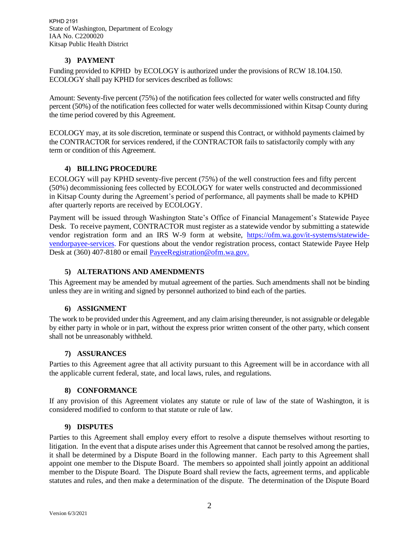## **3) PAYMENT**

Funding provided to KPHD by ECOLOGY is authorized under the provisions of RCW 18.104.150. ECOLOGY shall pay KPHD for services described as follows:

Amount: Seventy-five percent (75%) of the notification fees collected for water wells constructed and fifty percent (50%) of the notification fees collected for water wells decommissioned within Kitsap County during the time period covered by this Agreement.

ECOLOGY may, at its sole discretion, terminate or suspend this Contract, or withhold payments claimed by the CONTRACTOR for services rendered, if the CONTRACTOR fails to satisfactorily comply with any term or condition of this Agreement.

### **4) BILLING PROCEDURE**

ECOLOGY will pay KPHD seventy-five percent (75%) of the well construction fees and fifty percent (50%) decommissioning fees collected by ECOLOGY for water wells constructed and decommissioned in Kitsap County during the Agreement's period of performance, all payments shall be made to KPHD after quarterly reports are received by ECOLOGY.

Payment will be issued through Washington State's Office of Financial Management's Statewide Payee Desk. To receive payment, CONTRACTOR must register as a statewide vendor by submitting a statewide vendor registration form and an IRS W-9 form at website, [https://ofm.wa.gov/it-systems/statewide](https://ofm.wa.gov/it-systems/statewide-vendorpayee-services)[vendorpayee-services.](https://ofm.wa.gov/it-systems/statewide-vendorpayee-services) For questions about the vendor registration process, contact Statewide Payee Help Desk at (360) 407-8180 or email [PayeeRegistration@ofm.wa.gov.](mailto:PayeeRegistration@ofm.wa.gov)

#### **5) ALTERATIONS AND AMENDMENTS**

This Agreement may be amended by mutual agreement of the parties. Such amendments shall not be binding unless they are in writing and signed by personnel authorized to bind each of the parties.

#### **6) ASSIGNMENT**

The work to be provided under this Agreement, and any claim arising thereunder, is not assignable or delegable by either party in whole or in part, without the express prior written consent of the other party, which consent shall not be unreasonably withheld.

#### **7) ASSURANCES**

Parties to this Agreement agree that all activity pursuant to this Agreement will be in accordance with all the applicable current federal, state, and local laws, rules, and regulations.

#### **8) CONFORMANCE**

If any provision of this Agreement violates any statute or rule of law of the state of Washington, it is considered modified to conform to that statute or rule of law.

#### **9) DISPUTES**

Parties to this Agreement shall employ every effort to resolve a dispute themselves without resorting to litigation. In the event that a dispute arises under this Agreement that cannot be resolved among the parties, it shall be determined by a Dispute Board in the following manner. Each party to this Agreement shall appoint one member to the Dispute Board. The members so appointed shall jointly appoint an additional member to the Dispute Board. The Dispute Board shall review the facts, agreement terms, and applicable statutes and rules, and then make a determination of the dispute. The determination of the Dispute Board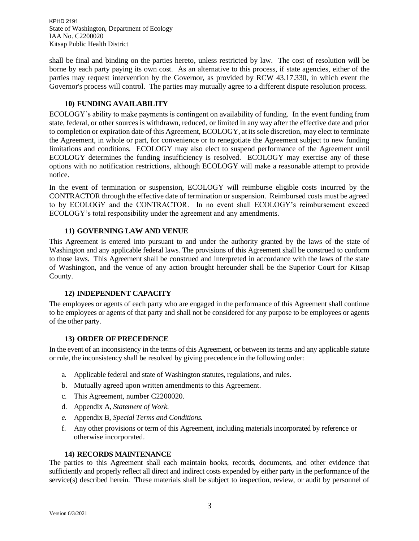shall be final and binding on the parties hereto, unless restricted by law. The cost of resolution will be borne by each party paying its own cost. As an alternative to this process, if state agencies, either of the parties may request intervention by the Governor, as provided by RCW 43.17.330, in which event the Governor's process will control. The parties may mutually agree to a different dispute resolution process.

### **10) FUNDING AVAILABILITY**

ECOLOGY's ability to make payments is contingent on availability of funding. In the event funding from state, federal, or other sources is withdrawn, reduced, or limited in any way after the effective date and prior to completion or expiration date of this Agreement, ECOLOGY, at its sole discretion, may elect to terminate the Agreement, in whole or part, for convenience or to renegotiate the Agreement subject to new funding limitations and conditions. ECOLOGY may also elect to suspend performance of the Agreement until ECOLOGY determines the funding insufficiency is resolved. ECOLOGY may exercise any of these options with no notification restrictions, although ECOLOGY will make a reasonable attempt to provide notice.

In the event of termination or suspension, ECOLOGY will reimburse eligible costs incurred by the CONTRACTOR through the effective date of termination or suspension. Reimbursed costs must be agreed to by ECOLOGY and the CONTRACTOR. In no event shall ECOLOGY's reimbursement exceed ECOLOGY's total responsibility under the agreement and any amendments.

### **11) GOVERNING LAW AND VENUE**

This Agreement is entered into pursuant to and under the authority granted by the laws of the state of Washington and any applicable federal laws. The provisions of this Agreement shall be construed to conform to those laws. This Agreement shall be construed and interpreted in accordance with the laws of the state of Washington, and the venue of any action brought hereunder shall be the Superior Court for Kitsap County.

## **12) INDEPENDENT CAPACITY**

The employees or agents of each party who are engaged in the performance of this Agreement shall continue to be employees or agents of that party and shall not be considered for any purpose to be employees or agents of the other party.

#### **13) ORDER OF PRECEDENCE**

In the event of an inconsistency in the terms of this Agreement, or between its terms and any applicable statute or rule, the inconsistency shall be resolved by giving precedence in the following order:

- a. Applicable federal and state of Washington statutes, regulations, and rules.
- b. Mutually agreed upon written amendments to this Agreement.
- c. This Agreement, number C2200020.
- d. Appendix A, *Statement of Work*.
- *e.* Appendix B, *Special Terms and Conditions.*
- f. Any other provisions or term of this Agreement, including materials incorporated by reference or otherwise incorporated.

#### **14) RECORDS MAINTENANCE**

The parties to this Agreement shall each maintain books, records, documents, and other evidence that sufficiently and properly reflect all direct and indirect costs expended by either party in the performance of the service(s) described herein. These materials shall be subject to inspection, review, or audit by personnel of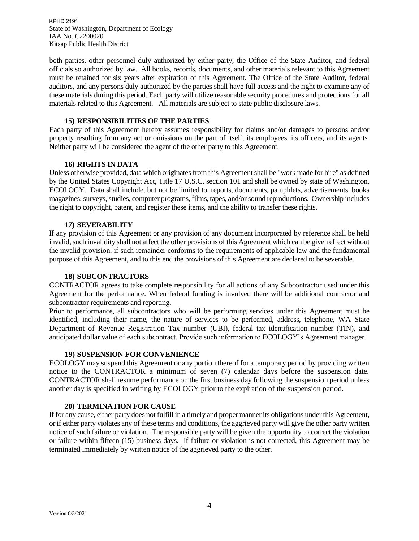both parties, other personnel duly authorized by either party, the Office of the State Auditor, and federal officials so authorized by law. All books, records, documents, and other materials relevant to this Agreement must be retained for six years after expiration of this Agreement. The Office of the State Auditor, federal auditors, and any persons duly authorized by the parties shall have full access and the right to examine any of these materials during this period. Each party will utilize reasonable security procedures and protections for all materials related to this Agreement. All materials are subject to state public disclosure laws.

#### **15) RESPONSIBILITIES OF THE PARTIES**

Each party of this Agreement hereby assumes responsibility for claims and/or damages to persons and/or property resulting from any act or omissions on the part of itself, its employees, its officers, and its agents. Neither party will be considered the agent of the other party to this Agreement.

#### **16) RIGHTS IN DATA**

Unless otherwise provided, data which originates from this Agreement shall be "work made for hire" as defined by the United States Copyright Act, Title 17 U.S.C. section 101 and shall be owned by state of Washington, ECOLOGY*.* Data shall include, but not be limited to, reports, documents, pamphlets, advertisements, books magazines, surveys, studies, computer programs, films, tapes, and/or sound reproductions. Ownership includes the right to copyright, patent, and register these items, and the ability to transfer these rights.

#### **17) SEVERABILITY**

If any provision of this Agreement or any provision of any document incorporated by reference shall be held invalid, such invalidity shall not affect the other provisions of this Agreement which can be given effect without the invalid provision, if such remainder conforms to the requirements of applicable law and the fundamental purpose of this Agreement, and to this end the provisions of this Agreement are declared to be severable.

#### **18) SUBCONTRACTORS**

CONTRACTOR agrees to take complete responsibility for all actions of any Subcontractor used under this Agreement for the performance. When federal funding is involved there will be additional contractor and subcontractor requirements and reporting.

Prior to performance, all subcontractors who will be performing services under this Agreement must be identified, including their name, the nature of services to be performed, address, telephone, WA State Department of Revenue Registration Tax number (UBI), federal tax identification number (TIN), and anticipated dollar value of each subcontract. Provide such information to ECOLOGY's Agreement manager.

#### **19) SUSPENSION FOR CONVENIENCE**

ECOLOGY may suspend this Agreement or any portion thereof for a temporary period by providing written notice to the CONTRACTOR a minimum of seven (7) calendar days before the suspension date. CONTRACTOR shall resume performance on the first business day following the suspension period unless another day is specified in writing by ECOLOGY prior to the expiration of the suspension period.

#### **20) TERMINATION FOR CAUSE**

If for any cause, either party does not fulfill in a timely and proper manner its obligations under this Agreement, or if either party violates any of these terms and conditions, the aggrieved party will give the other party written notice of such failure or violation. The responsible party will be given the opportunity to correct the violation or failure within fifteen (15) business days. If failure or violation is not corrected, this Agreement may be terminated immediately by written notice of the aggrieved party to the other.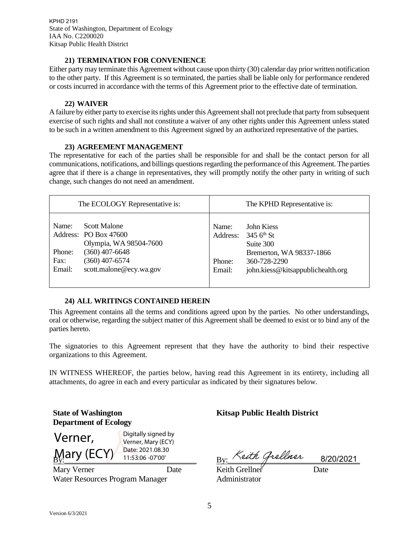#### **21) TERMINATION FOR CONVENIENCE**

Either party may terminate this Agreement without cause upon thirty (30) calendar day prior written notification to the other party. If this Agreement is so terminated, the parties shall be liable only for performance rendered or costs incurred in accordance with the terms of this Agreement prior to the effective date of termination.

### **22) WAIVER**

A failure by either party to exercise its rights under this Agreement shall not preclude that party from subsequent exercise of such rights and shall not constitute a waiver of any other rights under this Agreement unless stated to be such in a written amendment to this Agreement signed by an authorized representative of the parties.

### **23) AGREEMENT MANAGEMENT**

The representative for each of the parties shall be responsible for and shall be the contact person for all communications, notifications, and billings questionsregarding the performance of this Agreement. The parties agree that if there is a change in representatives, they will promptly notify the other party in writing of such change, such changes do not need an amendment.

| The ECOLOGY Representative is: | The KPHD Representative is:       |
|--------------------------------|-----------------------------------|
| Scott Malone                   | Name:                             |
| Name:                          | John Kiess                        |
| Address: PO Box 47600          | 345 $6^{\text{th}}$ St            |
| Olympia, WA 98504-7600         | Address:                          |
| $(360)$ 407-6648               | Suite 300                         |
| Phone:                         | Bremerton, WA 98337-1866          |
| $(360)$ 407-6574               | 360-728-2290                      |
| Fax:                           | Phone:                            |
| Email:                         | Email:                            |
| scott.malone@ecy.wa.gov        | john.kiess@kitsappublichealth.org |

#### **24) ALL WRITINGS CONTAINED HEREIN**

This Agreement contains all the terms and conditions agreed upon by the parties. No other understandings, oral or otherwise, regarding the subject matter of this Agreement shall be deemed to exist or to bind any of the parties hereto.

The signatories to this Agreement represent that they have the authority to bind their respective organizations to this Agreement.

IN WITNESS WHEREOF, the parties below, having read this Agreement in its entirety, including all attachments, do agree in each and every particular as indicated by their signatures below.

**State of Washington Department of Ecology**

 $\frac{By}{By}$  (LC  $\frac{y}{y}$  11:53:06 -07'00' Verner, Mary (ECY) Digitally signed by Verner, Mary (ECY) Date: 2021.08.30

Mary Verner Date Water Resources Program Manager

**Kitsap Public Health District**

 $_{\rm{By:}}$   $\sim$ each Greener  $_{\rm{8/20/2021}}$ 

Keith Grellner Date Administrator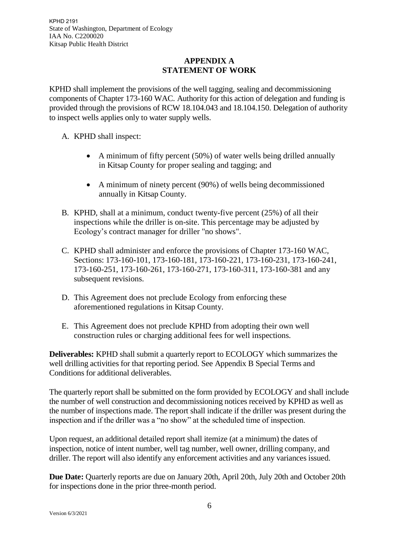# **APPENDIX A STATEMENT OF WORK**

KPHD shall implement the provisions of the well tagging, sealing and decommissioning components of Chapter 173-160 WAC. Authority for this action of delegation and funding is provided through the provisions of RCW 18.104.043 and 18.104.150. Delegation of authority to inspect wells applies only to water supply wells.

- A. KPHD shall inspect:
	- A minimum of fifty percent (50%) of water wells being drilled annually in Kitsap County for proper sealing and tagging; and
	- A minimum of ninety percent (90%) of wells being decommissioned annually in Kitsap County.
- B. KPHD, shall at a minimum, conduct twenty-five percent (25%) of all their inspections while the driller is on-site. This percentage may be adjusted by Ecology's contract manager for driller "no shows".
- C. KPHD shall administer and enforce the provisions of Chapter 173-160 WAC, Sections: 173-160-101, 173-160-181, 173-160-221, 173-160-231, 173-160-241, 173-160-251, 173-160-261, 173-160-271, 173-160-311, 173-160-381 and any subsequent revisions.
- D. This Agreement does not preclude Ecology from enforcing these aforementioned regulations in Kitsap County.
- E. This Agreement does not preclude KPHD from adopting their own well construction rules or charging additional fees for well inspections.

**Deliverables:** KPHD shall submit a quarterly report to ECOLOGY which summarizes the well drilling activities for that reporting period. See Appendix B Special Terms and Conditions for additional deliverables.

The quarterly report shall be submitted on the form provided by ECOLOGY and shall include the number of well construction and decommissioning notices received by KPHD as well as the number of inspections made. The report shall indicate if the driller was present during the inspection and if the driller was a "no show" at the scheduled time of inspection.

Upon request, an additional detailed report shall itemize (at a minimum) the dates of inspection, notice of intent number, well tag number, well owner, drilling company, and driller. The report will also identify any enforcement activities and any variances issued.

**Due Date:** Quarterly reports are due on January 20th, April 20th, July 20th and October 20th for inspections done in the prior three-month period.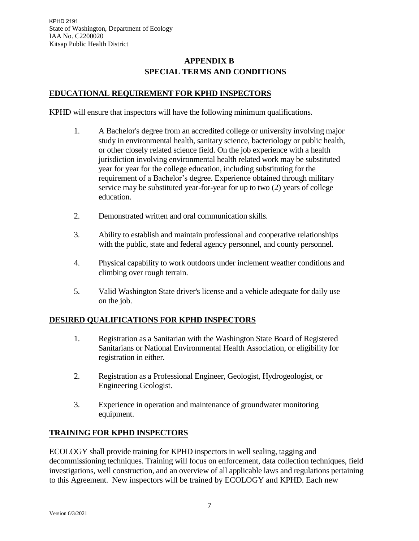# **APPENDIX B SPECIAL TERMS AND CONDITIONS**

# **EDUCATIONAL REQUIREMENT FOR KPHD INSPECTORS**

KPHD will ensure that inspectors will have the following minimum qualifications.

- 1. A Bachelor's degree from an accredited college or university involving major study in environmental health, sanitary science, bacteriology or public health, or other closely related science field. On the job experience with a health jurisdiction involving environmental health related work may be substituted year for year for the college education, including substituting for the requirement of a Bachelor's degree. Experience obtained through military service may be substituted year-for-year for up to two (2) years of college education.
- 2. Demonstrated written and oral communication skills.
- 3. Ability to establish and maintain professional and cooperative relationships with the public, state and federal agency personnel, and county personnel.
- 4. Physical capability to work outdoors under inclement weather conditions and climbing over rough terrain.
- 5. Valid Washington State driver's license and a vehicle adequate for daily use on the job.

# **DESIRED QUALIFICATIONS FOR KPHD INSPECTORS**

- 1. Registration as a Sanitarian with the Washington State Board of Registered Sanitarians or National Environmental Health Association, or eligibility for registration in either.
- 2. Registration as a Professional Engineer, Geologist, Hydrogeologist, or Engineering Geologist.
- 3. Experience in operation and maintenance of groundwater monitoring equipment.

# **TRAINING FOR KPHD INSPECTORS**

ECOLOGY shall provide training for KPHD inspectors in well sealing, tagging and decommissioning techniques. Training will focus on enforcement, data collection techniques, field investigations, well construction, and an overview of all applicable laws and regulations pertaining to this Agreement. New inspectors will be trained by ECOLOGY and KPHD. Each new